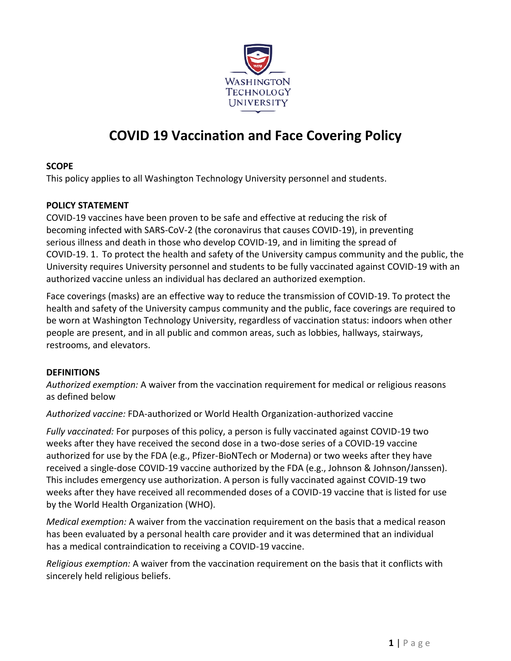

# **COVID 19 Vaccination and Face Covering Policy**

#### **SCOPE**

This policy applies to all Washington Technology University personnel and students.

#### **POLICY STATEMENT**

COVID-19 vaccines have been proven to be safe and effective at reducing the risk of becoming infected with SARS-CoV-2 (the coronavirus that causes COVID-19), in preventing serious illness and death in those who develop COVID-19, and in limiting the spread of COVID-19. 1. To protect the health and safety of the University campus community and the public, the University requires University personnel and students to be fully vaccinated against COVID-19 with an authorized vaccine unless an individual has declared an authorized exemption.

Face coverings (masks) are an effective way to reduce the transmission of COVID-19. To protect the health and safety of the University campus community and the public, face coverings are required to be worn at Washington Technology University, regardless of vaccination status: indoors when other people are present, and in all public and common areas, such as lobbies, hallways, stairways, restrooms, and elevators.

#### **DEFINITIONS**

*Authorized exemption:* A waiver from the vaccination requirement for medical or religious reasons as defined below

*Authorized vaccine:* FDA-authorized or World Health Organization-authorized vaccine

*Fully vaccinated:* For purposes of this policy, a person is fully vaccinated against COVID-19 two weeks after they have received the second dose in a two-dose series of a COVID-19 vaccine authorized for use by the FDA (e.g., Pfizer-BioNTech or Moderna) or two weeks after they have received a single-dose COVID-19 vaccine authorized by the FDA (e.g., Johnson & Johnson/Janssen). This includes emergency use authorization. A person is fully vaccinated against COVID-19 two weeks after they have received all recommended doses of a COVID-19 vaccine that is listed for use by the World Health Organization (WHO).

*Medical exemption:* A waiver from the vaccination requirement on the basis that a medical reason has been evaluated by a personal health care provider and it was determined that an individual has a medical contraindication to receiving a COVID-19 vaccine.

*Religious exemption:* A waiver from the vaccination requirement on the basis that it conflicts with sincerely held religious beliefs.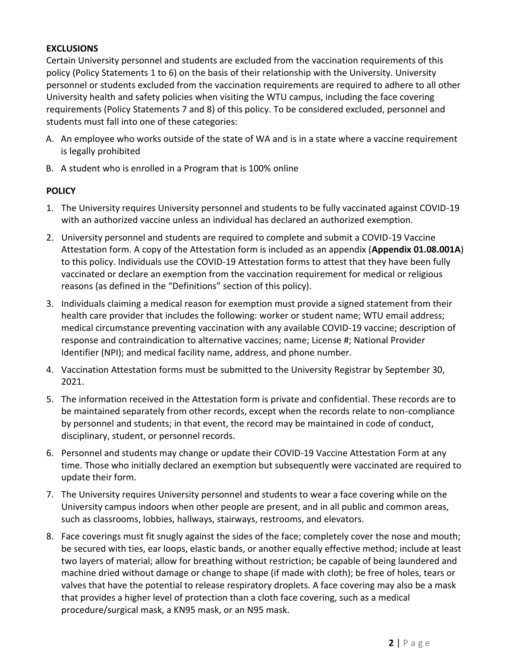#### **EXCLUSIONS**

Certain University personnel and students are excluded from the vaccination requirements of this policy (Policy Statements 1 to 6) on the basis of their relationship with the University. University personnel or students excluded from the vaccination requirements are required to adhere to all other University health and safety policies when visiting the WTU campus, including the face covering requirements (Policy Statements 7 and 8) of this policy. To be considered excluded, personnel and students must fall into one of these categories:

- A. An employee who works outside of the state of WA and is in a state where a vaccine requirement is legally prohibited
- B. A student who is enrolled in a Program that is 100% online

#### **POLICY**

- 1. The University requires University personnel and students to be fully vaccinated against COVID-19 with an authorized vaccine unless an individual has declared an authorized exemption.
- 2. University personnel and students are required to complete and submit a COVID-19 Vaccine Attestation form. A copy of the Attestation form is included as an appendix (**Appendix 01.08.001A**) to this policy. Individuals use the COVID-19 Attestation forms to attest that they have been fully vaccinated or declare an exemption from the vaccination requirement for medical or religious reasons (as defined in the "Definitions" section of this policy).
- 3. Individuals claiming a medical reason for exemption must provide a signed statement from their health care provider that includes the following: worker or student name; WTU email address; medical circumstance preventing vaccination with any available COVID-19 vaccine; description of response and contraindication to alternative vaccines; name; License #; National Provider Identifier (NPI); and medical facility name, address, and phone number.
- 4. Vaccination Attestation forms must be submitted to the University Registrar by September 30, 2021.
- 5. The information received in the Attestation form is private and confidential. These records are to be maintained separately from other records, except when the records relate to non-compliance by personnel and students; in that event, the record may be maintained in code of conduct, disciplinary, student, or personnel records.
- 6. Personnel and students may change or update their COVID-19 Vaccine Attestation Form at any time. Those who initially declared an exemption but subsequently were vaccinated are required to update their form.
- 7. The University requires University personnel and students to wear a face covering while on the University campus indoors when other people are present, and in all public and common areas, such as classrooms, lobbies, hallways, stairways, restrooms, and elevators.
- 8. Face coverings must fit snugly against the sides of the face; completely cover the nose and mouth; be secured with ties, ear loops, elastic bands, or another equally effective method; include at least two layers of material; allow for breathing without restriction; be capable of being laundered and machine dried without damage or change to shape (if made with cloth); be free of holes, tears or valves that have the potential to release respiratory droplets. A face covering may also be a mask that provides a higher level of protection than a cloth face covering, such as a medical procedure/surgical mask, a KN95 mask, or an N95 mask.